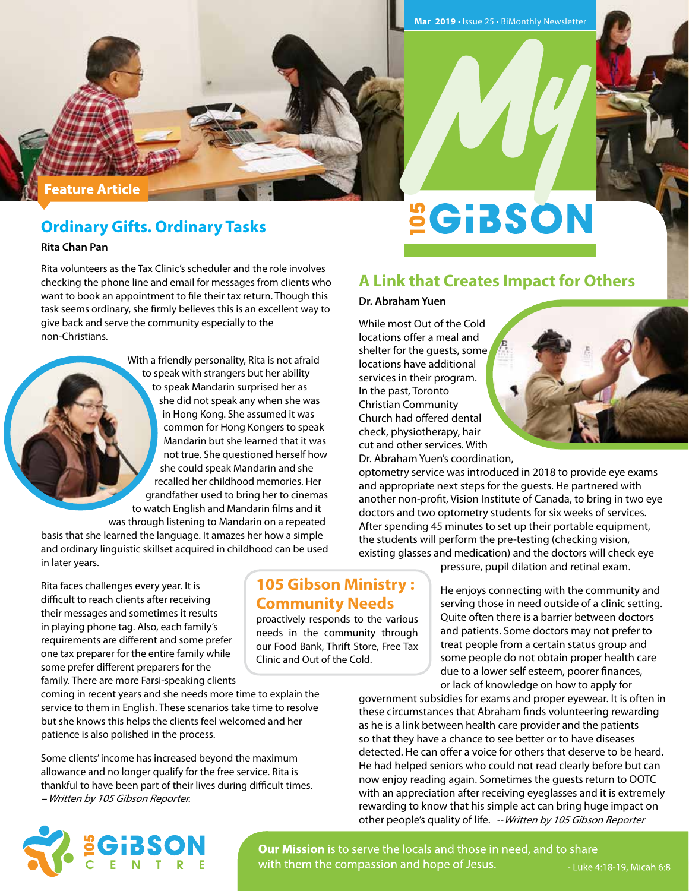#### **Feature Article**

# **Ordinary Gifts. Ordinary Tasks**

**Rita Chan Pan**

Rita volunteers as the Tax Clinic's scheduler and the role involves checking the phone line and email for messages from clients who want to book an appointment to file their tax return. Though this task seems ordinary, she firmly believes this is an excellent way to give back and serve the community especially to the non-Christians.

> With a friendly personality, Rita is not afraid to speak with strangers but her ability to speak Mandarin surprised her as she did not speak any when she was in Hong Kong. She assumed it was common for Hong Kongers to speak Mandarin but she learned that it was not true. She questioned herself how she could speak Mandarin and she recalled her childhood memories. Her grandfather used to bring her to cinemas to watch English and Mandarin films and it

was through listening to Mandarin on a repeated basis that she learned the language. It amazes her how a simple and ordinary linguistic skillset acquired in childhood can be used in later years.

Rita faces challenges every year. It is difficult to reach clients after receiving their messages and sometimes it results in playing phone tag. Also, each family's requirements are different and some prefer one tax preparer for the entire family while some prefer different preparers for the family. There are more Farsi-speaking clients

coming in recent years and she needs more time to explain the service to them in English. These scenarios take time to resolve but she knows this helps the clients feel welcomed and her patience is also polished in the process.

Some clients' income has increased beyond the maximum allowance and no longer qualify for the free service. Rita is thankful to have been part of their lives during difficult times. – Written by 105 Gibson Reporter.

# **SGIBSON**

### **A Link that Creates Impact for Others**

#### **Dr. Abraham Yuen**

**105 Gibson Ministry : Community Needs**  proactively responds to the various needs in the community through our Food Bank, Thrift Store, Free Tax

Clinic and Out of the Cold.

While most Out of the Cold locations offer a meal and shelter for the quests, some locations have additional services in their program. In the past, Toronto Christian Community Church had offered dental check, physiotherapy, hair cut and other services. With Dr. Abraham Yuen's coordination,



optometry service was introduced in 2018 to provide eye exams and appropriate next steps for the guests. He partnered with another non-profit, Vision Institute of Canada, to bring in two eye doctors and two optometry students for six weeks of services. After spending 45 minutes to set up their portable equipment, the students will perform the pre-testing (checking vision, existing glasses and medication) and the doctors will check eye

pressure, pupil dilation and retinal exam.

He enjoys connecting with the community and serving those in need outside of a clinic setting. Quite often there is a barrier between doctors and patients. Some doctors may not prefer to treat people from a certain status group and some people do not obtain proper health care due to a lower self esteem, poorer finances, or lack of knowledge on how to apply for

government subsidies for exams and proper eyewear. It is often in these circumstances that Abraham finds volunteering rewarding as he is a link between health care provider and the patients so that they have a chance to see better or to have diseases detected. He can offer a voice for others that deserve to be heard. He had helped seniors who could not read clearly before but can now enjoy reading again. Sometimes the guests return to OOTC with an appreciation after receiving eyeglasses and it is extremely rewarding to know that his simple act can bring huge impact on other people's quality of life. -- Written by 105 Gibson Reporter



Our Mission is to serve the locals and those in need, and to share with them the compassion and hope of Jesus.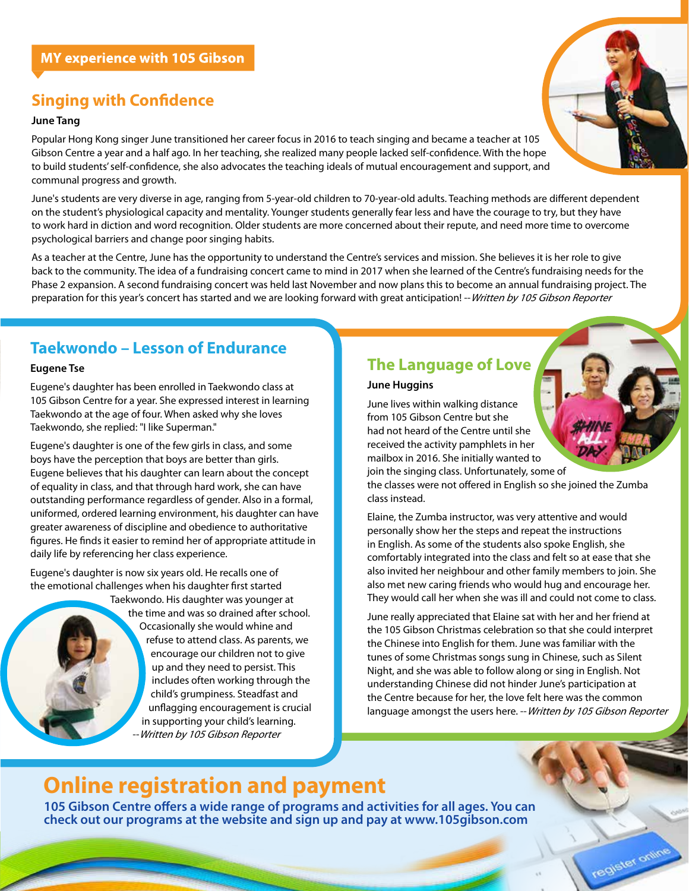# **Singing with Confidence**

#### **June Tang**

Popular Hong Kong singer June transitioned her career focus in 2016 to teach singing and became a teacher at 105 Gibson Centre a year and a half ago. In her teaching, she realized many people lacked self-confidence. With the hope to build students' self-confidence, she also advocates the teaching ideals of mutual encouragement and support, and communal progress and growth.

June's students are very diverse in age, ranging from 5-year-old children to 70-year-old adults. Teaching methods are different dependent on the student's physiological capacity and mentality. Younger students generally fear less and have the courage to try, but they have to work hard in diction and word recognition. Older students are more concerned about their repute, and need more time to overcome psychological barriers and change poor singing habits.

As a teacher at the Centre, June has the opportunity to understand the Centre's services and mission. She believes it is her role to give back to the community. The idea of a fundraising concert came to mind in 2017 when she learned of the Centre's fundraising needs for the Phase 2 expansion. A second fundraising concert was held last November and now plans this to become an annual fundraising project. The preparation for this year's concert has started and we are looking forward with great anticipation! -- Written by 105 Gibson Reporter

# **Taekwondo – Lesson of Endurance**

#### **Eugene Tse**

Eugene's daughter has been enrolled in Taekwondo class at 105 Gibson Centre for a year. She expressed interest in learning Taekwondo at the age of four. When asked why she loves Taekwondo, she replied: "I like Superman."

Eugene's daughter is one of the few girls in class, and some boys have the perception that boys are better than girls. Eugene believes that his daughter can learn about the concept of equality in class, and that through hard work, she can have outstanding performance regardless of gender. Also in a formal, uniformed, ordered learning environment, his daughter can have greater awareness of discipline and obedience to authoritative figures. He finds it easier to remind her of appropriate attitude in daily life by referencing her class experience.

Eugene's daughter is now six years old. He recalls one of the emotional challenges when his daughter first started



Taekwondo. His daughter was younger at the time and was so drained after school. Occasionally she would whine and refuse to attend class. As parents, we encourage our children not to give up and they need to persist. This includes often working through the child's grumpiness. Steadfast and unflagging encouragement is crucial in supporting your child's learning. Written by 105 Gibson Reporter

# **The Language of Love**

#### **June Huggins**

June lives within walking distance from 105 Gibson Centre but she had not heard of the Centre until she received the activity pamphlets in her mailbox in 2016. She initially wanted to join the singing class. Unfortunately, some of

the classes were not offered in English so she joined the Zumba class instead.

Elaine, the Zumba instructor, was very attentive and would personally show her the steps and repeat the instructions in English. As some of the students also spoke English, she comfortably integrated into the class and felt so at ease that she also invited her neighbour and other family members to join. She also met new caring friends who would hug and encourage her. They would call her when she was ill and could not come to class.

June really appreciated that Elaine sat with her and her friend at the 105 Gibson Christmas celebration so that she could interpret the Chinese into English for them. June was familiar with the tunes of some Christmas songs sung in Chinese, such as Silent Night, and she was able to follow along or sing in English. Not understanding Chinese did not hinder June's participation at the Centre because for her, the love felt here was the common language amongst the users here. -- Written by 105 Gibson Reporter

register online

# **Online registration and payment**

**105 Gibson Centre offers a wide range of programs and activities for all ages. You can check out our programs at the website and sign up and pay at www.105gibson.com**